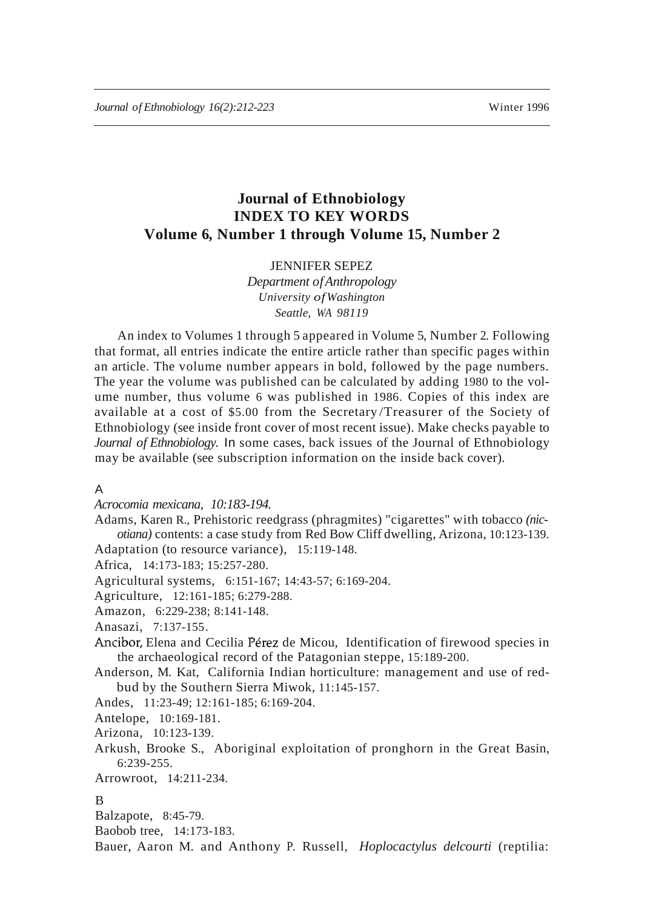# **Journal of Ethnobiology INDEX TO KEY WORDS Volume 6, Number 1 through Volume 15, Number 2**

# JENNIFER SEPEZ

*Department ofAnthropology University ofWashington Seattle, WA 98119*

An index to Volumes 1 through 5 appeared in Volume 5, Number 2. Following that format, all entries indicate the entire article rather than specific pages within an article. The volume number appears in bold, followed by the page numbers. The year the volume was published can be calculated by adding 1980 to the volume number, thus volume 6 was published in 1986. Copies of this index are available at a cost of \$5.00 from the Secretary /Treasurer of the Society of Ethnobiology (see inside front cover of most recent issue). Make checks payable to *Journal of Ethnobiology.* In some cases, back issues of the Journal of Ethnobiology may be available (see subscription information on the inside back cover).

## A

*Acrocomia mexicana, 10:183-194.*

Adams, Karen R., Prehistoric reedgrass (phragmites) "cigarettes" with tobacco *(nicotiana)* contents: a case study from Red Bow Cliff dwelling, Arizona, 10:123-139. Adaptation (to resource variance), 15:119-148.

Africa, 14:173-183; 15:257-280.

Agricultural systems, 6:151-167; 14:43-57; 6:169-204.

Agriculture, 12:161-185; 6:279-288.

Amazon, 6:229-238; 8:141-148.

Anasazi, 7:137-155.

Ancibor, Elena and Cecilia Pérez de Micou, Identification of firewood species in the archaeological record of the Patagonian steppe, 15:189-200.

Anderson, M. Kat, California Indian horticulture: management and use of redbud by the Southern Sierra Miwok, 11:145-157.

Andes, 11:23-49; 12:161-185; 6:169-204.

Antelope, 10:169-181.

Arizona, 10:123-139.

Arkush, Brooke S., Aboriginal exploitation of pronghorn in the Great Basin, 6:239-255.

Arrowroot, 14:211-234.

#### B

Balzapote, 8:45-79.

Baobob tree, 14:173-183.

Bauer, Aaron M. and Anthony P. Russell, *Hoplocactylus delcourti* (reptilia: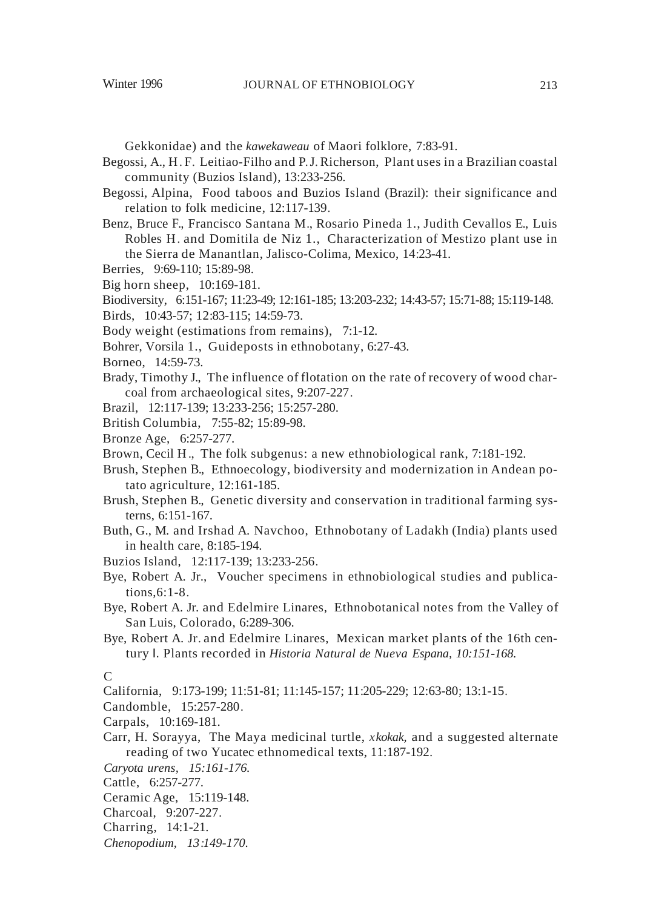Gekkonidae) and the *kawekaweau* of Maori folklore, 7:83-91.

- Begossi, A., H. F. Leitiao-Filho and P.J. Richerson, Plant uses in a Brazilian coastal community (Buzios Island), 13:233-256.
- Begossi, Alpina, Food taboos and Buzios Island (Brazil): their significance and relation to folk medicine, 12:117-139.
- Benz, Bruce F., Francisco Santana M., Rosario Pineda 1., Judith Cevallos E., Luis Robles H. and Domitila de Niz 1., Characterization of Mestizo plant use in the Sierra de Manantlan, Jalisco-Colima, Mexico, 14:23-41.
- Berries, 9:69-110; 15:89-98.
- Big horn sheep, 10:169-181.
- Biodiversity, 6:151-167; 11:23-49; 12:161-185; 13:203-232; 14:43-57; 15:71-88; 15:119-148.
- Birds, 10:43-57; 12:83-115; 14:59-73.
- Body weight (estimations from remains), 7:1-12.
- Bohrer, Vorsila 1., Guideposts in ethnobotany, 6:27-43.
- Borneo, 14:59-73.
- Brady, Timothy J., The influence of flotation on the rate of recovery of wood charcoal from archaeological sites, 9:207-227.
- Brazil, 12:117-139; 13:233-256; 15:257-280.
- British Columbia, 7:55-82; 15:89-98.
- Bronze Age, 6:257-277.
- Brown, Cecil H., The folk subgenus: a new ethnobiological rank, 7:181-192.
- Brush, Stephen B., Ethnoecology, biodiversity and modernization in Andean potato agriculture, 12:161-185.
- Brush, Stephen B., Genetic diversity and conservation in traditional farming systerns, 6:151-167.
- Buth, G., M. and Irshad A. Navchoo, Ethnobotany of Ladakh (India) plants used in health care, 8:185-194.
- Buzios Island, 12:117-139; 13:233-256.
- Bye, Robert A. Jr., Voucher specimens in ethnobiological studies and publications,6:1-8.
- Bye, Robert A. Jr. and Edelmire Linares, Ethnobotanical notes from the Valley of San Luis, Colorado, 6:289-306.
- Bye, Robert A. Jr. and Edelmire Linares, Mexican market plants of the 16th century I. Plants recorded in *Historia Natural de Nueva Espana, 10:151-168.*

#### C

- California, 9:173-199; 11:51-81; 11:145-157; 11:205-229; 12:63-80; 13:1-15.
- Candomble, 15:257-280.
- Carpals, 10:169-181.
- Carr, H. Sorayya, The Maya medicinal turtle, *xkokak,* and a suggested alternate reading of two Yucatec ethnomedical texts, 11:187-192.
- *Caryota urens, 15:161-176.*
- Cattle, 6:257-277.
- Ceramic Age, 15:119-148.
- Charcoal, 9:207-227.
- Charring, 14:1-21.
- *Chenopodium, 13:149-170.*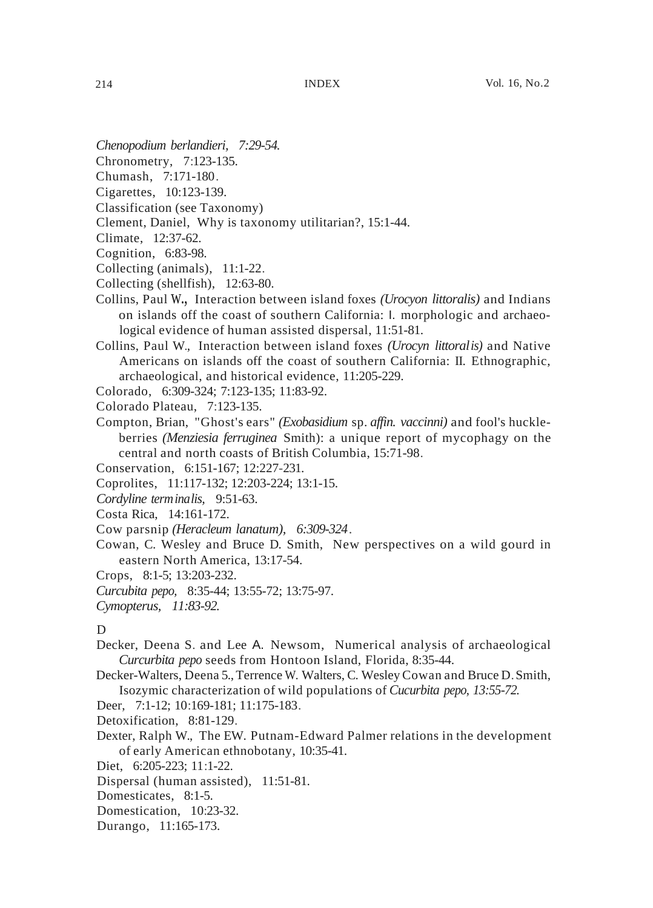- *Chenopodium berlandieri, 7:29-54.*
- Chronometry, 7:123-135.
- Chumash, 7:171-180.
- Cigarettes, 10:123-139.
- Classification (see Taxonomy)
- Clement, Daniel, Why is taxonomy utilitarian?, 15:1-44.
- Climate, 12:37-62.
- Cognition, 6:83-98.
- Collecting (animals), 11:1-22.
- Collecting (shellfish), 12:63-80.
- Collins, Paul w., Interaction between island foxes *(Urocyon littoralis)* and Indians on islands off the coast of southern California: I. morphologic and archaeological evidence of human assisted dispersal, 11:51-81.
- Collins, Paul W., Interaction between island foxes *(Urocyn littoralis)* and Native Americans on islands off the coast of southern California: II. Ethnographic, archaeological, and historical evidence, 11:205-229.
- Colorado, 6:309-324; 7:123-135; 11:83-92.
- Colorado Plateau, 7:123-135.
- Compton, Brian, "Ghost's ears" *(Exobasidium* sp. *affin. vaccinni)* and fool's huckleberries *(Menziesia ferruginea* Smith): a unique report of mycophagy on the central and north coasts of British Columbia, 15:71-98.
- Conservation, 6:151-167; 12:227-231.
- Coprolites, 11:117-132; 12:203-224; 13:1-15.
- *Cordyline terminalis,* 9:51-63.
- Costa Rica, 14:161-172.
- Cow parsnip *(Heracleum lanatum), 6:309-324.*
- Cowan, C. Wesley and Bruce D. Smith, New perspectives on a wild gourd in eastern North America, 13:17-54.
- Crops, 8:1-5; 13:203-232.
- *Curcubita pepo,* 8:35-44; 13:55-72; 13:75-97.
- *Cymopterus, 11:83-92.*

#### D

- Decker, Deena S. and Lee A. Newsom, Numerical analysis of archaeological *Curcurbita pepo* seeds from Hontoon Island, Florida, 8:35-44.
- Decker-Walters, Deena 5., Terrence W. Walters, C. Wesley Cowan and Bruce D.Smith, Isozymic characterization of wild populations of *Cucurbita pepo, 13:55-72.*
- Deer, 7:1-12; 10:169-181; 11:175-183.
- Detoxification, 8:81-129.
- Dexter, Ralph W., The EW. Putnam-Edward Palmer relations in the development of early American ethnobotany, 10:35-41.
- Diet, 6:205-223; 11:1-22.
- Dispersal (human assisted), 11:51-81.
- Domesticates, 8:1-5.
- Domestication, 10:23-32.
- Durango, 11:165-173.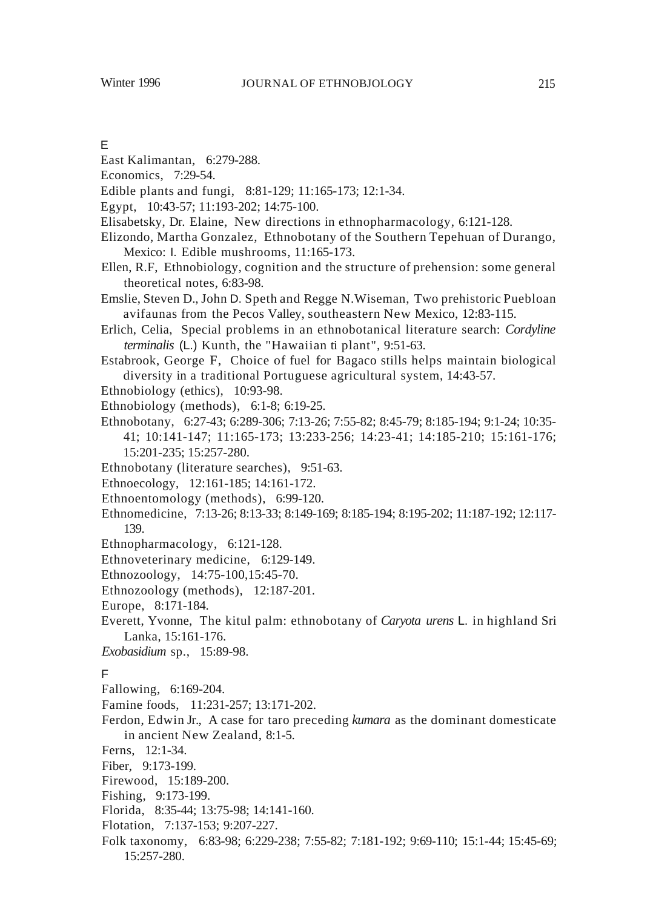# E

- East Kalimantan, 6:279-288.
- Economics, 7:29-54.
- Edible plants and fungi, 8:81-129; 11:165-173; 12:1-34.
- Egypt, 10:43-57; 11:193-202; 14:75-100.
- Elisabetsky, Dr. Elaine, New directions in ethnopharmacology, 6:121-128.
- Elizondo, Martha Gonzalez, Ethnobotany of the Southern Tepehuan of Durango, Mexico: I. Edible mushrooms, 11:165-173.
- Ellen, R.F, Ethnobiology, cognition and the structure of prehension: some general theoretical notes, 6:83-98.
- Emslie, Steven D., John D. Speth and Regge N.Wiseman, Two prehistoric Puebloan avifaunas from the Pecos Valley, southeastern New Mexico, 12:83-115.
- Erlich, Celia, Special problems in an ethnobotanical literature search: *Cordyline terminalis* (L.) Kunth, the "Hawaiian ti plant", 9:51-63.
- Estabrook, George F, Choice of fuel for Bagaco stills helps maintain biological diversity in a traditional Portuguese agricultural system, 14:43-57.
- Ethnobiology (ethics), 10:93-98.
- Ethnobiology (methods), 6:1-8; 6:19-25.
- Ethnobotany, 6:27-43; 6:289-306; 7:13-26; 7:55-82; 8:45-79; 8:185-194; 9:1-24; 10:35- 41; 10:141-147; 11:165-173; 13:233-256; 14:23-41; 14:185-210; 15:161-176; 15:201-235; 15:257-280.
- Ethnobotany (literature searches), 9:51-63.
- Ethnoecology, 12:161-185; 14:161-172.
- Ethnoentomology (methods), 6:99-120.
- Ethnomedicine, 7:13-26; 8:13-33; 8:149-169; 8:185-194; 8:195-202; 11:187-192; 12:117- 139.
- Ethnopharmacology, 6:121-128.
- Ethnoveterinary medicine, 6:129-149.
- Ethnozoology, 14:75-100,15:45-70.
- Ethnozoology (methods), 12:187-201.
- Europe, 8:171-184.
- Everett, Yvonne, The kitul palm: ethnobotany of *Caryota urens* L. in highland Sri Lanka, 15:161-176.
- *Exobasidium* sp., 15:89-98.

## F

- Fallowing, 6:169-204.
- Famine foods, 11:231-257; 13:171-202.
- Ferdon, Edwin Jr., A case for taro preceding *kumara* as the dominant domesticate in ancient New Zealand, 8:1-5.
- Ferns, 12:1-34.
- Fiber, 9:173-199.
- Firewood, 15:189-200.
- Fishing, 9:173-199.
- Florida, 8:35-44; 13:75-98; 14:141-160.
- Flotation, 7:137-153; 9:207-227.
- Folk taxonomy, 6:83-98; 6:229-238; 7:55-82; 7:181-192; 9:69-110; 15:1-44; 15:45-69; 15:257-280.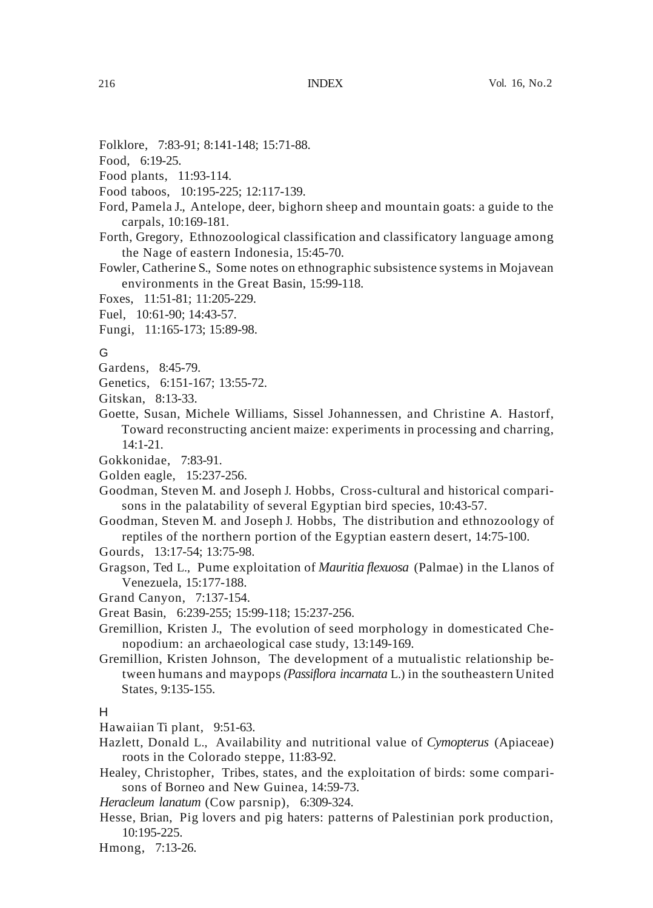- Folklore, 7:83-91; 8:141-148; 15:71-88.
- Food, 6:19-25.
- Food plants, 11:93-114.
- Food taboos, 10:195-225; 12:117-139.
- Ford, Pamela J., Antelope, deer, bighorn sheep and mountain goats: a guide to the carpals, 10:169-181.
- Forth, Gregory, Ethnozoological classification and classificatory language among the Nage of eastern Indonesia, 15:45-70.
- Fowler, Catherine S., Some notes on ethnographic subsistence systems in Mojavean environments in the Great Basin, 15:99-118.
- Foxes, 11:51-81; 11:205-229.
- Fuel, 10:61-90; 14:43-57.
- Fungi, 11:165-173; 15:89-98.

## G

- Gardens, 8:45-79.
- Genetics, 6:151-167; 13:55-72.
- Gitskan, 8:13-33.
- Goette, Susan, Michele Williams, Sissel Johannessen, and Christine A. Hastorf, Toward reconstructing ancient maize: experiments in processing and charring, 14:1-21.
- Gokkonidae, 7:83-91.
- Golden eagle, 15:237-256.
- Goodman, Steven M. and Joseph J. Hobbs, Cross-cultural and historical comparisons in the palatability of several Egyptian bird species, 10:43-57.
- Goodman, Steven M. and Joseph J. Hobbs, The distribution and ethnozoology of reptiles of the northern portion of the Egyptian eastern desert, 14:75-100.
- Gourds, 13:17-54; 13:75-98.
- Gragson, Ted L., Pume exploitation of *Mauritia flexuosa* (Palmae) in the Llanos of Venezuela, 15:177-188.
- Grand Canyon, 7:137-154.
- Great Basin, 6:239-255; 15:99-118; 15:237-256.
- Gremillion, Kristen J., The evolution of seed morphology in domesticated Chenopodium: an archaeological case study, 13:149-169.
- Gremillion, Kristen Johnson, The development of a mutualistic relationship between humans and maypops *(Passiflora incarnata* L.) in the southeastern United States, 9:135-155.

#### H

Hawaiian Ti plant, 9:51-63.

- Hazlett, Donald L., Availability and nutritional value of *Cymopterus* (Apiaceae) roots in the Colorado steppe, 11:83-92.
- Healey, Christopher, Tribes, states, and the exploitation of birds: some comparisons of Borneo and New Guinea, 14:59-73.
- *Heracleum lanatum* (Cow parsnip), 6:309-324.
- Hesse, Brian, Pig lovers and pig haters: patterns of Palestinian pork production, 10:195-225.
- Hmong, 7:13-26.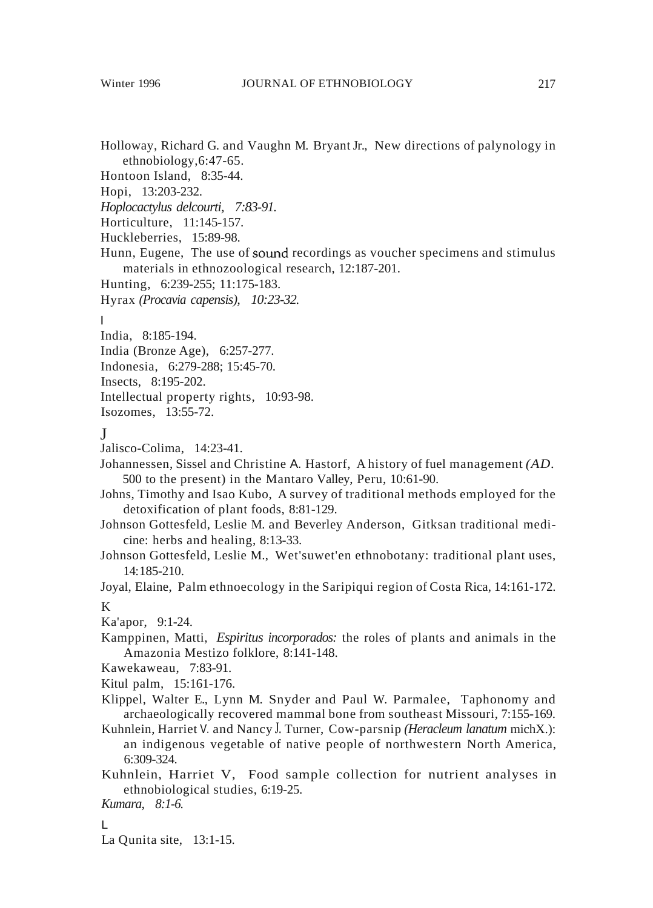- Holloway, Richard G. and Vaughn M. Bryant Jr., New directions of palynology in ethnobiology,6:47-65.
- Hontoon Island, 8:35-44.
- Hopi, 13:203-232.
- *Hoplocactylus delcourti, 7:83-91.*
- Horticulture, 11:145-157.
- Huckleberries, 15:89-98.
- Hunn, Eugene, The use of sound recordings as voucher specimens and stimulus materials in ethnozoological research, 12:187-201.
- Hunting, 6:239-255; 11:175-183.
- Hyrax *(Procavia capensis), 10:23-32.*

#### I

- India, 8:185-194.
- India (Bronze Age), 6:257-277.
- Indonesia, 6:279-288; 15:45-70.
- Insects, 8:195-202.
- Intellectual property rights, 10:93-98.
- Isozomes, 13:55-72.

# J

- Jalisco-Colima, 14:23-41.
- Johannessen, Sissel and Christine A. Hastorf, A history of fuel management *(AD.* 500 to the present) in the Mantaro Valley, Peru, 10:61-90.
- Johns, Timothy and Isao Kubo, A survey of traditional methods employed for the detoxification of plant foods, 8:81-129.
- Johnson Gottesfeld, Leslie M. and Beverley Anderson, Gitksan traditional medicine: herbs and healing, 8:13-33.
- Johnson Gottesfeld, Leslie M., Wet'suwet'en ethnobotany: traditional plant uses, 14:185-210.
- Joyal, Elaine, Palm ethnoecology in the Saripiqui region of Costa Rica, 14:161-172. K
- Ka'apor, 9:1-24.
- Kamppinen, Matti, *Espiritus incorporados:* the roles of plants and animals in the Amazonia Mestizo folklore, 8:141-148.
- Kawekaweau, 7:83-91.
- Kitul palm, 15:161-176.
- Klippel, Walter E., Lynn M. Snyder and Paul W. Parmalee, Taphonomy and archaeologically recovered mammal bone from southeast Missouri, 7:155-169.
- Kuhnlein, Harriet V. and Nancy J. Turner, Cow-parsnip *(Heracleum lanatum* michX.): an indigenous vegetable of native people of northwestern North America, 6:309-324.
- Kuhnlein, Harriet V, Food sample collection for nutrient analyses in ethnobiological studies, 6:19-25.
- *Kumara, 8:1-6.*

## L

La Qunita site, 13:1-15.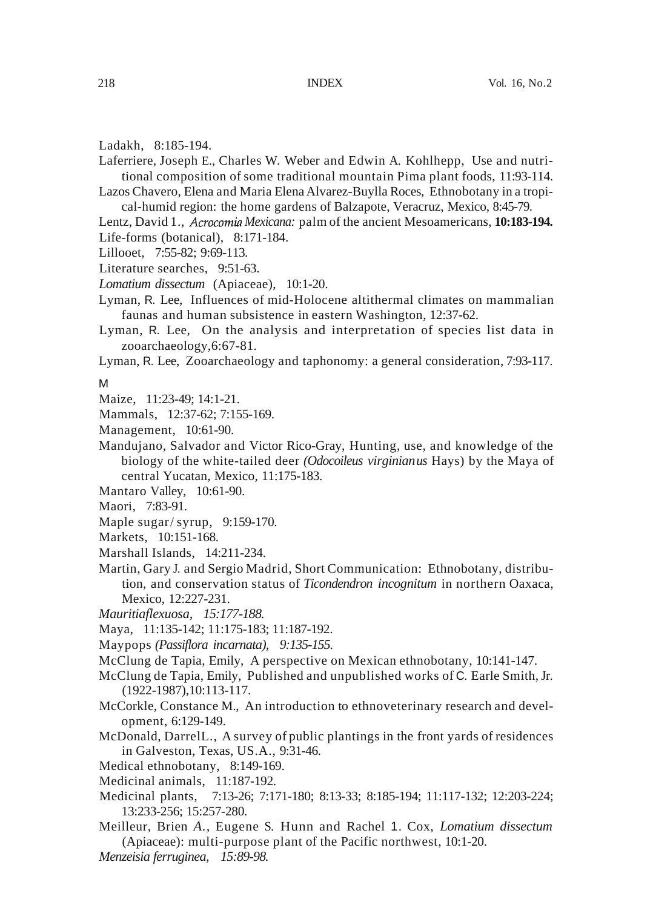- Ladakh, 8:185-194.
- Laferriere, Joseph E., Charles W. Weber and Edwin A. Kohlhepp, Use and nutritional composition of some traditional mountain Pima plant foods, 11:93-114.
- Lazos Chavero, Elena and Maria Elena Alvarez-Buylla Roces, Ethnobotany in a tropical-humid region: the home gardens of Balzapote, Veracruz, Mexico, 8:45-79.
- Lentz, David 1., *Acrocomia Mexicana:* palm of the ancient Mesoamericans, **10:183-194.** Life-forms (botanical), 8:171-184.
- Lillooet, 7:55-82; 9:69-113.
- Literature searches, 9:51-63.
- *Lomatium dissectum* (Apiaceae), 10:1-20.
- Lyman, R. Lee, Influences of mid-Holocene altithermal climates on mammalian faunas and human subsistence in eastern Washington, 12:37-62.
- Lyman, R. Lee, On the analysis and interpretation of species list data in zooarchaeology,6:67-81.
- Lyman, R. Lee, Zooarchaeology and taphonomy: a general consideration, 7:93-117.

M

- Maize, 11:23-49; 14:1-21.
- Mammals, 12:37-62; 7:155-169.
- Management, 10:61-90.
- Mandujano, Salvador and Victor Rico-Gray, Hunting, use, and knowledge of the biology of the white-tailed deer *(Odocoileus virginianus* Hays) by the Maya of central Yucatan, Mexico, 11:175-183.
- Mantaro Valley, 10:61-90.
- Maori, 7:83-91.
- Maple sugar/ syrup, 9:159-170.
- Markets, 10:151-168.
- Marshall Islands, 14:211-234.
- Martin, Gary J. and Sergio Madrid, Short Communication: Ethnobotany, distribution, and conservation status of *Ticondendron incognitum* in northern Oaxaca, Mexico, 12:227-231.
- *Mauritiaflexuosa, 15:177-188.*
- Maya, 11:135-142; 11:175-183; 11:187-192.
- Maypops *(Passiflora incarnata), 9:135-155.*
- McClung de Tapia, Emily, A perspective on Mexican ethnobotany, 10:141-147.
- McClung de Tapia, Emily, Published and unpublished works of C. Earle Smith,Jr. (1922-1987),10:113-117.
- McCorkle, Constance M., An introduction to ethnoveterinary research and development, 6:129-149.
- McDonald, DarrelL., A survey of public plantings in the front yards of residences in Galveston, Texas, US.A., 9:31-46.
- Medical ethnobotany, 8:149-169.
- Medicinal animals, 11:187-192.
- Medicinal plants, 7:13-26; 7:171-180; 8:13-33; 8:185-194; 11:117-132; 12:203-224; 13:233-256; 15:257-280.
- Meilleur, Brien *A.,* Eugene S. Hunn and Rachel 1. Cox, *Lomatium dissectum* (Apiaceae): multi-purpose plant of the Pacific northwest, 10:1-20. *Menzeisia ferruginea, 15:89-98.*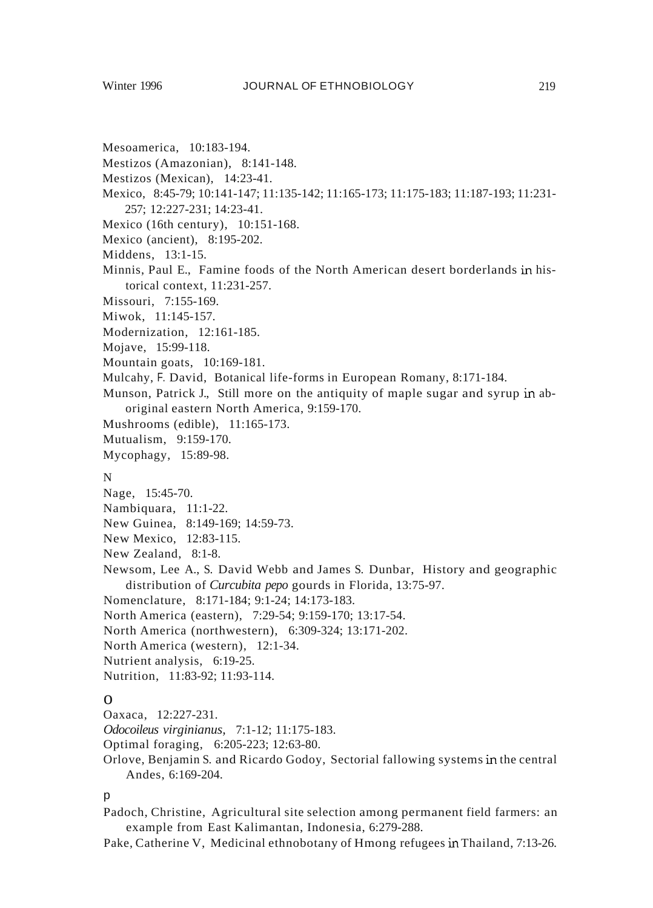- Mesoamerica, 10:183-194.
- Mestizos (Amazonian), 8:141-148.
- Mestizos (Mexican), 14:23-41.
- Mexico, 8:45-79; 10:141-147; 11:135-142; 11:165-173; 11:175-183; 11:187-193; 11:231- 257; 12:227-231; 14:23-41.
- Mexico (16th century), 10:151-168.
- Mexico (ancient), 8:195-202.
- Middens, 13:1-15.
- Minnis, Paul E., Famine foods of the North American desert borderlands in historical context, 11:231-257.
- Missouri, 7:155-169.
- Miwok, 11:145-157.
- Modernization, 12:161-185.
- Mojave, 15:99-118.
- Mountain goats, 10:169-181.
- Mulcahy, F. David, Botanical life-forms in European Romany, 8:171-184.
- Munson, Patrick J., Still more on the antiquity of maple sugar and syrup in aboriginal eastern North America, 9:159-170.
- Mushrooms (edible), 11:165-173.
- Mutualism, 9:159-170.
- Mycophagy, 15:89-98.

#### N

- Nage, 15:45-70.
- Nambiquara, 11:1-22.
- New Guinea, 8:149-169; 14:59-73.
- New Mexico, 12:83-115.
- New Zealand, 8:1-8.
- Newsom, Lee A., S. David Webb and James S. Dunbar, History and geographic distribution of *Curcubita pepo* gourds in Florida, 13:75-97.
- Nomenclature, 8:171-184; 9:1-24; 14:173-183.
- North America (eastern), 7:29-54; 9:159-170; 13:17-54.
- North America (northwestern), 6:309-324; 13:171-202.
- North America (western), 12:1-34.
- Nutrient analysis, 6:19-25.
- Nutrition, 11:83-92; 11:93-114.

## $\Omega$

- Oaxaca, 12:227-231.
- *Odocoileus virginianus,* 7:1-12; 11:175-183.
- Optimal foraging, 6:205-223; 12:63-80.
- Orlove, Benjamin S. and Ricardo Godoy, Sectorial fallowing systems in the central Andes, 6:169-204.

#### $\mathsf{D}$

- Padoch, Christine, Agricultural site selection among permanent field farmers: an example from East Kalimantan, Indonesia, 6:279-288.
- Pake, Catherine V, Medicinal ethnobotany of Hmong refugees in Thailand, 7:13-26.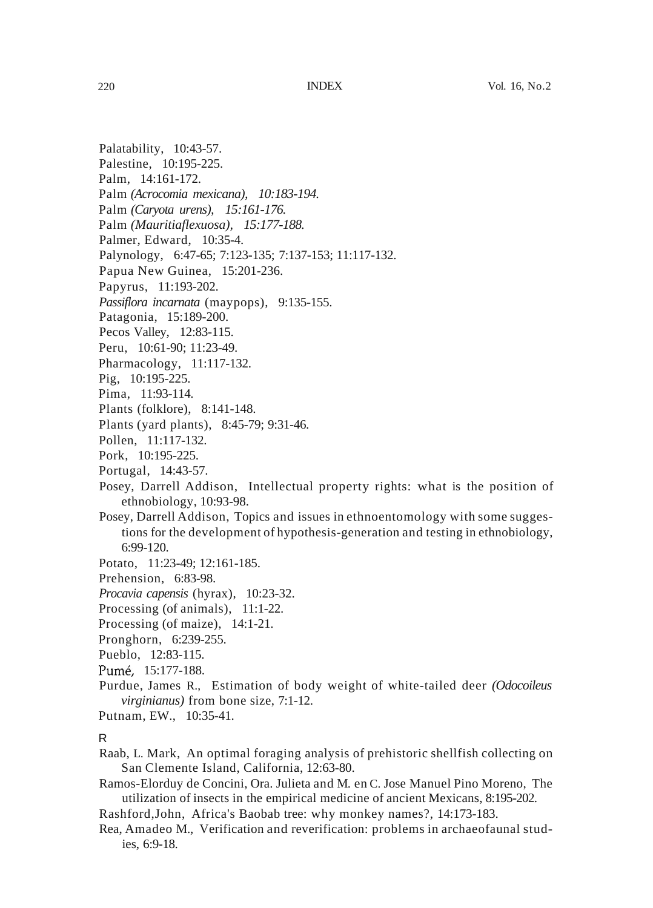- Palatability, 10:43-57.
- Palestine, 10:195-225.
- Palm, 14:161-172.
- Palm *(Acrocomia mexicana), 10:183-194.*
- Palm *(Caryota urens), 15:161-176.*
- Palm *(Mauritiaflexuosa), 15:177-188.* Palmer, Edward, 10:35-4.
- 
- Palynology, 6:47-65; 7:123-135; 7:137-153; 11:117-132.
- Papua New Guinea, 15:201-236.
- Papyrus, 11:193-202.
- *Passiflora incarnata* (maypops), 9:135-155.
- Patagonia, 15:189-200.
- Pecos Valley, 12:83-115.
- Peru, 10:61-90; 11:23-49.
- Pharmacology, 11:117-132.
- Pig, 10:195-225.
- Pima, 11:93-114.
- Plants (folklore), 8:141-148.
- Plants (yard plants), 8:45-79; 9:31-46.
- Pollen, 11:117-132.
- Pork, 10:195-225.
- Portugal, 14:43-57.
- Posey, Darrell Addison, Intellectual property rights: what is the position of ethnobiology, 10:93-98.
- Posey, Darrell Addison, Topics and issues in ethnoentomology with some suggestions for the development of hypothesis-generation and testing in ethnobiology, 6:99-120.
- Potato, 11:23-49; 12:161-185.
- Prehension, 6:83-98.
- *Procavia capensis* (hyrax), 10:23-32.
- Processing (of animals), 11:1-22.
- Processing (of maize), 14:1-21.
- Pronghorn, 6:239-255.
- Pueblo, 12:83-115.
- Pume, 15:177-188.
- Purdue, James R., Estimation of body weight of white-tailed deer *(Odocoileus virginianus)* from bone size, 7:1-12.
- Putnam, EW., 10:35-41.

# R

- Raab, L. Mark, An optimal foraging analysis of prehistoric shellfish collecting on San Clemente Island, California, 12:63-80.
- Ramos-Elorduy de Concini, Ora. Julieta and M. en C. Jose Manuel Pino Moreno, The utilization of insects in the empirical medicine of ancient Mexicans, 8:195-202.
- Rashford,John, Africa's Baobab tree: why monkey names?, 14:173-183.
- Rea, Amadeo M., Verification and reverification: problems in archaeofaunal studies, 6:9-18.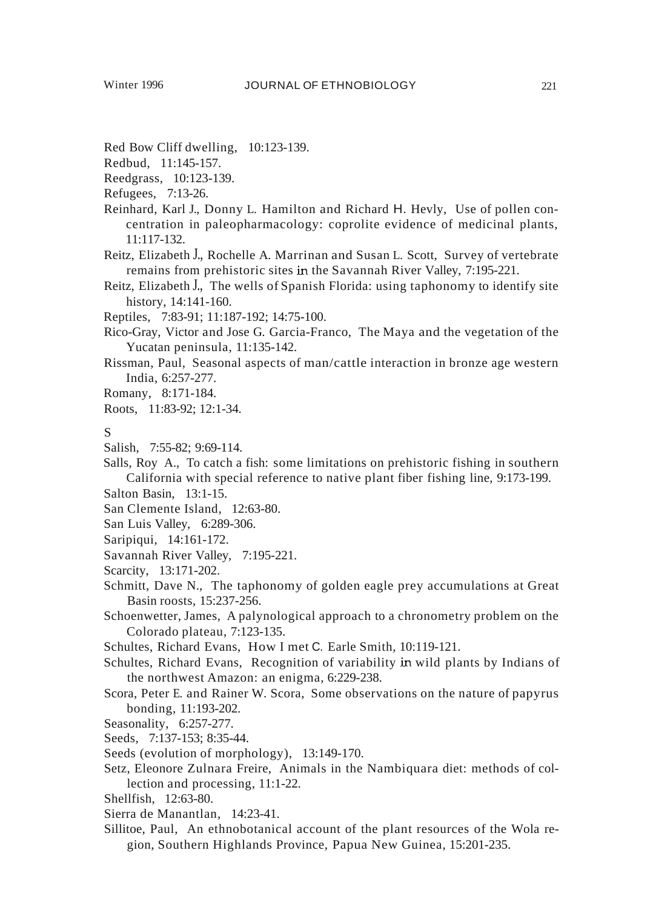- Red Bow Cliff dwelling, 10:123-139.
- Redbud, 11:145-157.
- Reedgrass, 10:123-139.
- Refugees, 7:13-26.
- Reinhard, Karl J., Donny L. Hamilton and Richard H. Hevly, Use of pollen concentration in paleopharmacology: coprolite evidence of medicinal plants, 11:117-132.
- Reitz, Elizabeth J., Rochelle A. Marrinan and Susan L. Scott, Survey of vertebrate remains from prehistoric sites in the Savannah River Valley, 7:195-221.
- Reitz, Elizabeth J., The wells of Spanish Florida: using taphonomy to identify site history, 14:141-160.
- Reptiles, 7:83-91; 11:187-192; 14:75-100.
- Rico-Gray, Victor and Jose G. Garcia-Franco, The Maya and the vegetation of the Yucatan peninsula, 11:135-142.
- Rissman, Paul, Seasonal aspects of man/cattle interaction in bronze age western India, 6:257-277.
- Romany, 8:171-184.
- Roots, 11:83-92; 12:1-34.
- S
- Salish, 7:55-82; 9:69-114.
- Salls, Roy A., To catch a fish: some limitations on prehistoric fishing in southern California with special reference to native plant fiber fishing line, 9:173-199.
- Salton Basin, 13:1-15.
- San Clemente Island, 12:63-80.
- San Luis Valley, 6:289-306.
- Saripiqui, 14:161-172.
- Savannah River Valley, 7:195-221.
- Scarcity, 13:171-202.
- Schmitt, Dave N., The taphonomy of golden eagle prey accumulations at Great Basin roosts, 15:237-256.
- Schoenwetter, James, A palynological approach to a chronometry problem on the Colorado plateau, 7:123-135.
- Schultes, Richard Evans, How I met C. Earle Smith, 10:119-121.
- Schultes, Richard Evans, Recognition of variability in wild plants by Indians of the northwest Amazon: an enigma, 6:229-238.
- Scora, Peter E. and Rainer W. Scora, Some observations on the nature of papyrus bonding, 11:193-202.
- Seasonality, 6:257-277.
- Seeds, 7:137-153; 8:35-44.
- Seeds (evolution of morphology), 13:149-170.
- Setz, Eleonore Zulnara Freire, Animals in the Nambiquara diet: methods of collection and processing, 11:1-22.
- Shellfish, 12:63-80.
- Sierra de Manantlan, 14:23-41.
- Sillitoe, Paul, An ethnobotanical account of the plant resources of the Wola region, Southern Highlands Province, Papua New Guinea, 15:201-235.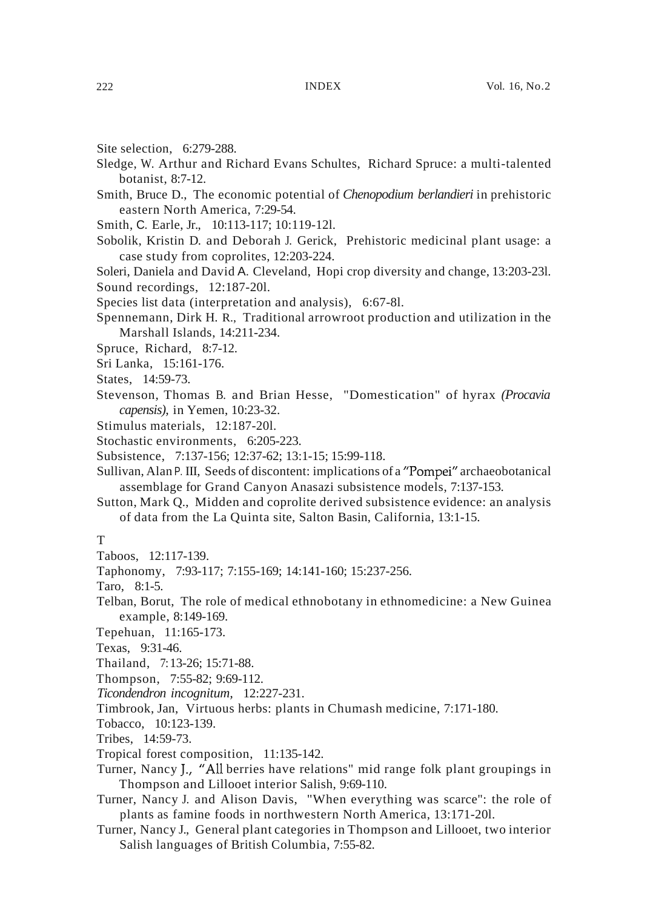- Site selection, 6:279-288.
- Sledge, W. Arthur and Richard Evans Schultes, Richard Spruce: a multi-talented botanist, 8:7-12.
- Smith, Bruce D., The economic potential of *Chenopodium berlandieri* in prehistoric eastern North America, 7:29-54.
- Smith, C. Earle, Jr., 10:113-117; 10:119-12l.
- Sobolik, Kristin D. and Deborah J. Gerick, Prehistoric medicinal plant usage: a case study from coprolites, 12:203-224.

Soleri, Daniela and David A. Cleveland, Hopi crop diversity and change, 13:203-23l. Sound recordings, 12:187-20l.

Species list data (interpretation and analysis), 6:67-8l.

- Spennemann, Dirk H. R., Traditional arrowroot production and utilization in the Marshall Islands, 14:211-234.
- Spruce, Richard, 8:7-12.
- Sri Lanka, 15:161-176.
- States, 14:59-73.
- Stevenson, Thomas B. and Brian Hesse, "Domestication" of hyrax *(Procavia capensis),* in Yemen, 10:23-32.
- Stimulus materials, 12:187-20l.
- Stochastic environments, 6:205-223.
- Subsistence, 7:137-156; 12:37-62; 13:1-15; 15:99-118.
- Sullivan, Alan P. III, Seeds of discontent: implications of a "Pompei" archaeobotanical assemblage for Grand Canyon Anasazi subsistence models, 7:137-153.
- Sutton, Mark Q., Midden and coprolite derived subsistence evidence: an analysis of data from the La Quinta site, Salton Basin, California, 13:1-15.

## T

- Taboos, 12:117-139.
- Taphonomy, 7:93-117; 7:155-169; 14:141-160; 15:237-256.
- Taro, 8:1-5.
- Telban, Borut, The role of medical ethnobotany in ethnomedicine: a New Guinea example, 8:149-169.
- Tepehuan, 11:165-173.
- Texas, 9:31-46.
- Thailand, 7:13-26; 15:71-88.
- Thompson, 7:55-82; 9:69-112.
- *Ticondendron incognitum,* 12:227-231.
- Timbrook, Jan, Virtuous herbs: plants in Chumash medicine, 7:171-180.
- Tobacco, 10:123-139.
- Tribes, 14:59-73.
- Tropical forest composition, 11:135-142.
- Turner, Nancy J., "All berries have relations" mid range folk plant groupings in Thompson and Lillooet interior Salish, 9:69-110.
- Turner, Nancy J. and Alison Davis, "When everything was scarce": the role of plants as famine foods in northwestern North America, 13:171-20l.
- Turner, Nancy J., General plant categories in Thompson and Lillooet, two interior Salish languages of British Columbia, 7:55-82.